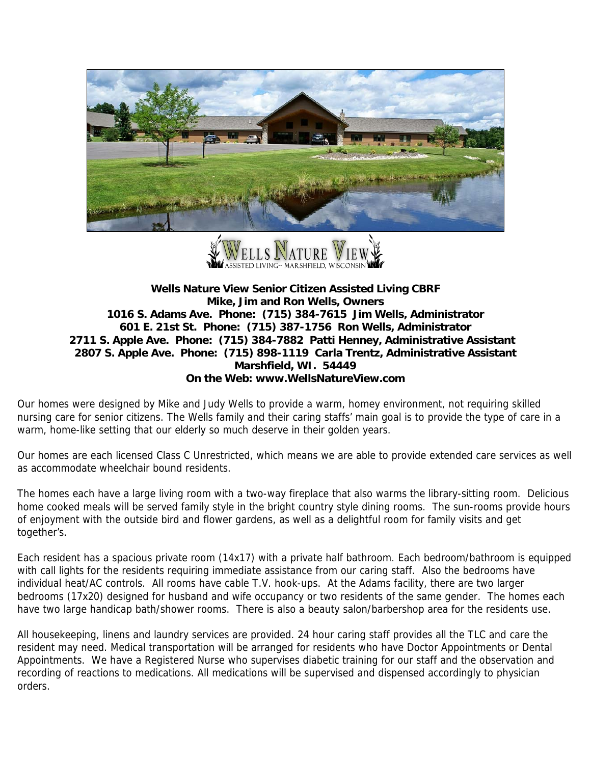



## **Wells Nature View Senior Citizen Assisted Living CBRF Mike, Jim and Ron Wells, Owners 1016 S. Adams Ave. Phone: (715) 384-7615 Jim Wells, Administrator 601 E. 21st St. Phone: (715) 387-1756 Ron Wells, Administrator 2711 S. Apple Ave. Phone: (715) 384-7882 Patti Henney, Administrative Assistant 2807 S. Apple Ave. Phone: (715) 898-1119 Carla Trentz, Administrative Assistant Marshfield, WI. 54449 On the Web: www.WellsNatureView.com**

Our homes were designed by Mike and Judy Wells to provide a warm, homey environment, not requiring skilled nursing care for senior citizens. The Wells family and their caring staffs' main goal is to provide the type of care in a warm, home-like setting that our elderly so much deserve in their golden years.

Our homes are each licensed Class C Unrestricted, which means we are able to provide extended care services as well as accommodate wheelchair bound residents.

The homes each have a large living room with a two-way fireplace that also warms the library-sitting room. Delicious home cooked meals will be served family style in the bright country style dining rooms. The sun-rooms provide hours of enjoyment with the outside bird and flower gardens, as well as a delightful room for family visits and get together's.

Each resident has a spacious private room (14x17) with a private half bathroom. Each bedroom/bathroom is equipped with call lights for the residents requiring immediate assistance from our caring staff. Also the bedrooms have individual heat/AC controls. All rooms have cable T.V. hook-ups. At the Adams facility, there are two larger bedrooms (17x20) designed for husband and wife occupancy or two residents of the same gender. The homes each have two large handicap bath/shower rooms. There is also a beauty salon/barbershop area for the residents use.

All housekeeping, linens and laundry services are provided. 24 hour caring staff provides all the TLC and care the resident may need. Medical transportation will be arranged for residents who have Doctor Appointments or Dental Appointments. We have a Registered Nurse who supervises diabetic training for our staff and the observation and recording of reactions to medications. All medications will be supervised and dispensed accordingly to physician orders.